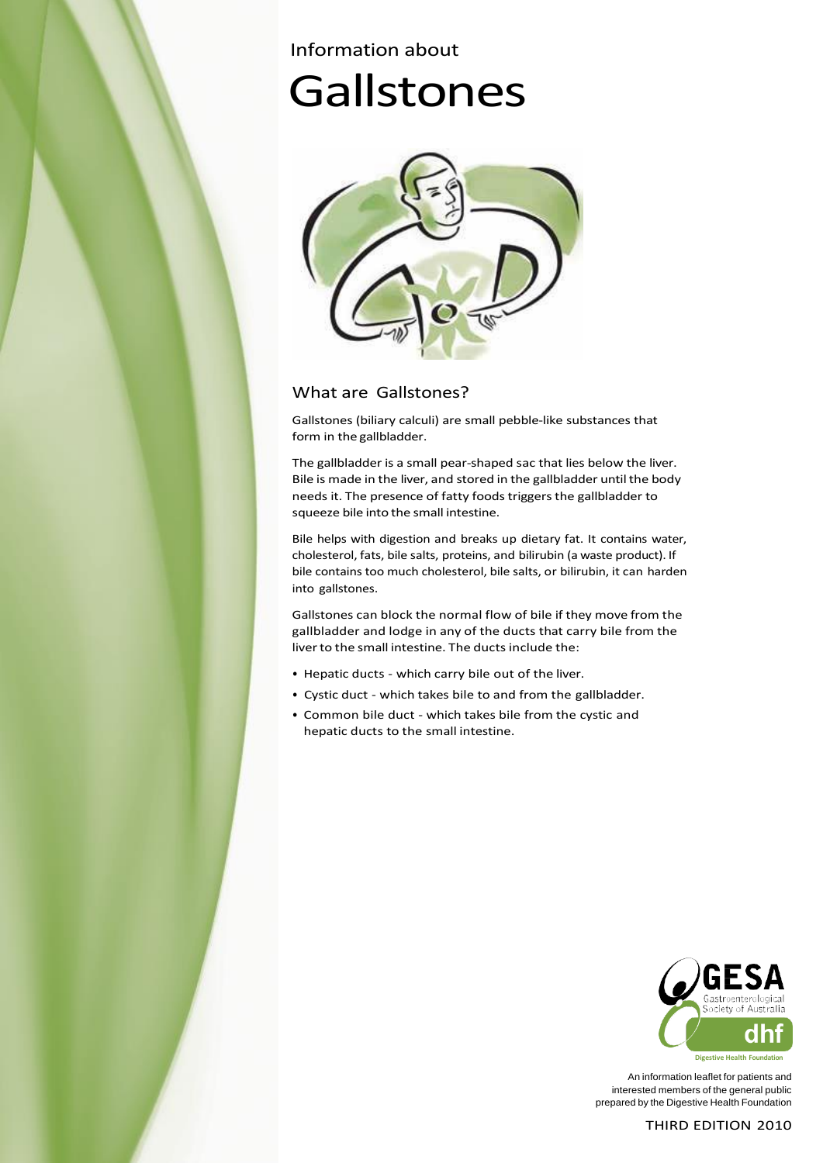# Information about **Gallstones**



# What are Gallstones?

Gallstones (biliary calculi) are small pebble-like substances that form in the gallbladder.

The gallbladder is a small pear-shaped sac that lies below the liver. Bile is made in the liver, and stored in the gallbladder until the body needs it. The presence of fatty foods triggers the gallbladder to squeeze bile into the small intestine.

Bile helps with digestion and breaks up dietary fat. It contains water, cholesterol, fats, bile salts, proteins, and bilirubin (a waste product). If bile contains too much cholesterol, bile salts, or bilirubin, it can harden into gallstones.

Gallstones can block the normal flow of bile if they move from the gallbladder and lodge in any of the ducts that carry bile from the liver to the small intestine. The ducts include the:

- Hepatic ducts which carry bile out of the liver.
- Cystic duct which takes bile to and from the gallbladder.
- Common bile duct which takes bile from the cystic and hepatic ducts to the small intestine.



An information leaflet for patients and interested members of the general public prepared by the Digestive Health Foundation

THIRD EDITION 2010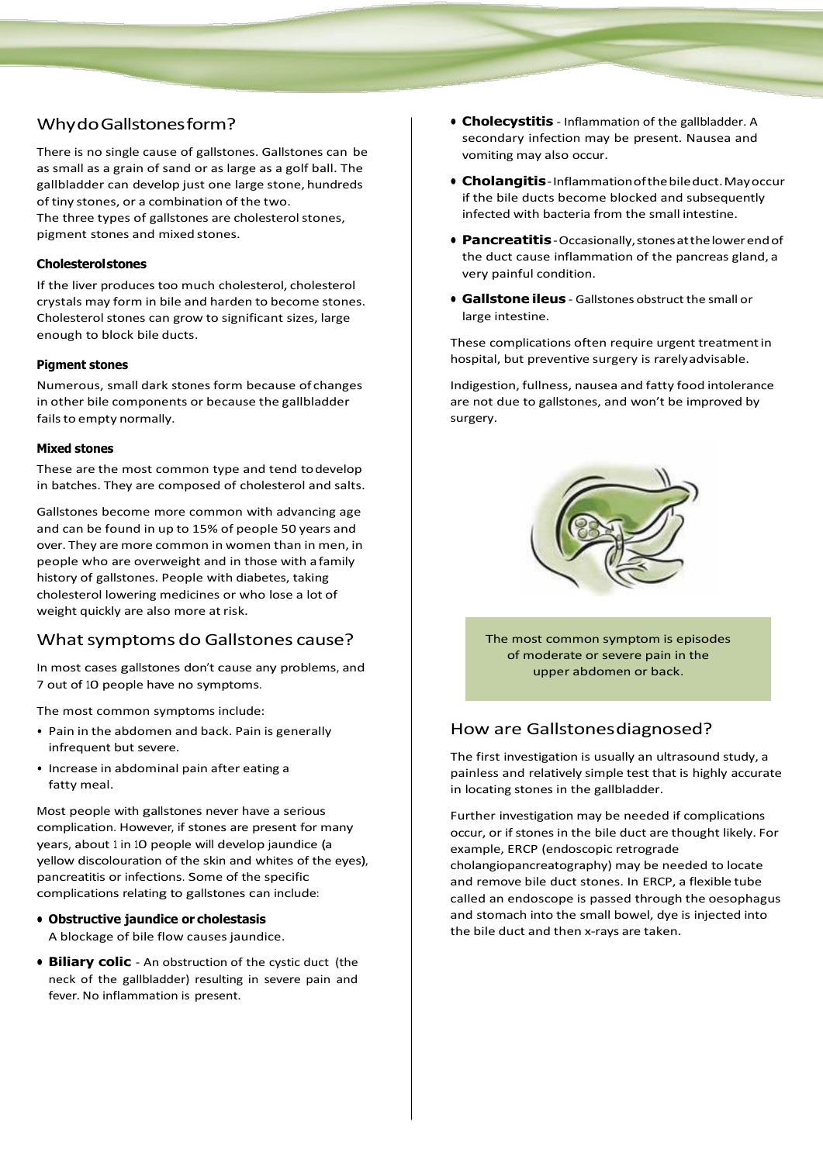# WhydoGallstonesform?

There is no single cause of gallstones. Gallstones can be as small as a grain of sand or as large as a golf ball. The gallbladder can develop just one large stone, hundreds of tiny stones, or a combination of the two. The three types of gallstones are cholesterol stones, pigment stones and mixed stones.

#### **Cholesterolstones**

If the liver produces too much cholesterol, cholesterol crystals may form in bile and harden to become stones. Cholesterol stones can grow to significant sizes, large enough to block bile ducts.

#### **Pigment stones**

Numerous, small dark stones form because of changes in other bile components or because the gallbladder fails to empty normally.

#### **Mixed stones**

These are the most common type and tend todevelop in batches. They are composed of cholesterol and salts.

Gallstones become more common with advancing age and can be found in up to 15% of people 50 years and over. They are more common in women than in men, in people who are overweight and in those with a family history of gallstones. People with diabetes, taking cholesterol lowering medicines or who lose a lot of weight quickly are also more at risk.

## What symptoms do Gallstones cause?

In most cases gallstones don't cause any problems, and 7 out of 10 people have no symptoms.

The most common symptoms include:

- Pain in the abdomen and back. Pain is generally infrequent but severe.
- Increase in abdominal pain after eating a fatty meal.

Most people with gallstones never have a serious complication. However, if stones are present for many years, about <sup>1</sup> in 10 people will develop jaundice (a yellow discolouration of the skin and whites of the eyes), pancreatitis or infections. Some of the specific complications relating to gallstones can include:

- **• Obstructive jaundice or cholestasis** A blockage of bile flow causes jaundice.
- **• Biliary colic**  An obstruction of the cystic duct (the neck of the gallbladder) resulting in severe pain and fever. No inflammation is present.
- **• Cholecystitis** Inflammation of the gallbladder. A secondary infection may be present. Nausea and vomiting may also occur.
- **• Cholangitis**-Inflammationofthebileduct.Mayoccur if the bile ducts become blocked and subsequently infected with bacteria from the small intestine.
- **• Pancreatitis**-Occasionally,stonesatthelowerendof the duct cause inflammation of the pancreas gland, a very painful condition.
- **• Gallstone ileus** Gallstones obstruct the small or large intestine.

These complications often require urgent treatmentin hospital, but preventive surgery is rarelyadvisable.

Indigestion, fullness, nausea and fatty food intolerance are not due to gallstones, and won't be improved by surgery.



The most common symptom is episodes of moderate or severe pain in the upper abdomen or back.

## How are Gallstonesdiagnosed?

The first investigation is usually an ultrasound study, a painless and relatively simple test that is highly accurate in locating stones in the gallbladder.

Further investigation may be needed if complications occur, or if stones in the bile duct are thought likely. For example, ERCP (endoscopic retrograde cholangiopancreatography) may be needed to locate and remove bile duct stones. In ERCP, a flexible tube called an endoscope is passed through the oesophagus and stomach into the small bowel, dye is injected into the bile duct and then x-rays are taken.